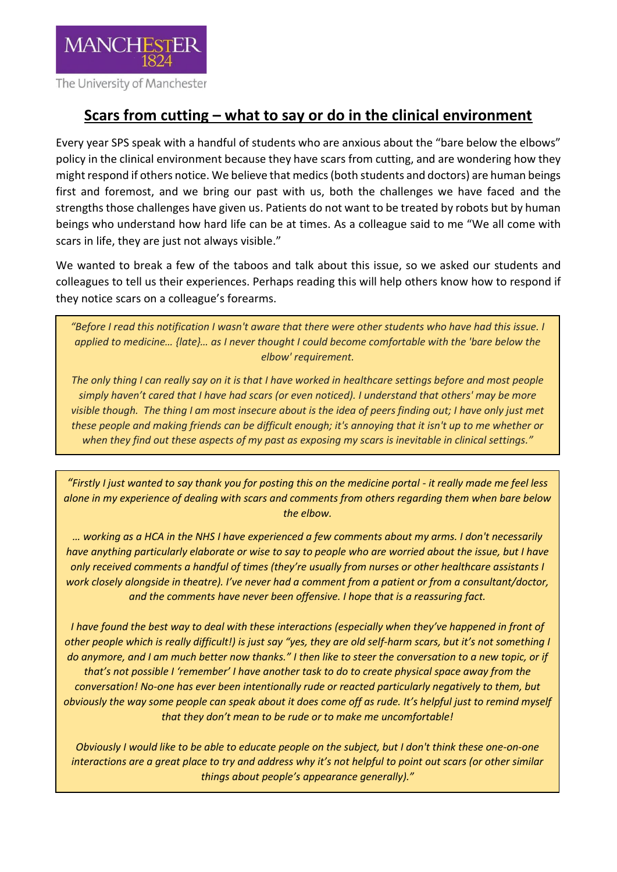

## **Scars from cutting – what to say or do in the clinical environment**

Every year SPS speak with a handful of students who are anxious about the "bare below the elbows" policy in the clinical environment because they have scars from cutting, and are wondering how they might respond if others notice. We believe that medics (both students and doctors) are human beings first and foremost, and we bring our past with us, both the challenges we have faced and the strengths those challenges have given us. Patients do not want to be treated by robots but by human beings who understand how hard life can be at times. As a colleague said to me "We all come with scars in life, they are just not always visible."

We wanted to break a few of the taboos and talk about this issue, so we asked our students and colleagues to tell us their experiences. Perhaps reading this will help others know how to respond if they notice scars on a colleague's forearms.

*"Before I read this notification I wasn't aware that there were other students who have had this issue. I applied to medicine… {late}… as I never thought I could become comfortable with the 'bare below the elbow' requirement.*

*The only thing I can really say on it is that I have worked in healthcare settings before and most people simply haven't cared that I have had scars (or even noticed). I understand that others' may be more visible though. The thing I am most insecure about is the idea of peers finding out; I have only just met these people and making friends can be difficult enough; it's annoying that it isn't up to me whether or when they find out these aspects of my past as exposing my scars is inevitable in clinical settings."*

*"Firstly I just wanted to say thank you for posting this on the medicine portal - it really made me feel less alone in my experience of dealing with scars and comments from others regarding them when bare below the elbow.*

*… working as a HCA in the NHS I have experienced a few comments about my arms. I don't necessarily have anything particularly elaborate or wise to say to people who are worried about the issue, but I have only received comments a handful of times (they're usually from nurses or other healthcare assistants I work closely alongside in theatre). I've never had a comment from a patient or from a consultant/doctor, and the comments have never been offensive. I hope that is a reassuring fact.* 

*I have found the best way to deal with these interactions (especially when they've happened in front of other people which is really difficult!) is just say "yes, they are old self-harm scars, but it's not something I do anymore, and I am much better now thanks." I then like to steer the conversation to a new topic, or if that's not possible I 'remember' I have another task to do to create physical space away from the conversation! No-one has ever been intentionally rude or reacted particularly negatively to them, but obviously the way some people can speak about it does come off as rude. It's helpful just to remind myself that they don't mean to be rude or to make me uncomfortable!*

*Obviously I would like to be able to educate people on the subject, but I don't think these one-on-one interactions are a great place to try and address why it's not helpful to point out scars (or other similar things about people's appearance generally)."*